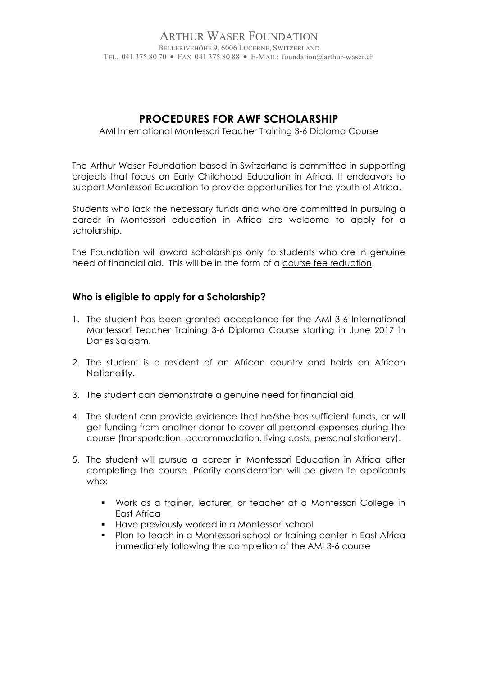#### ARTHUR WASER FOUNDATION BELLERIVEHÖHE 9, 6006 LUCERNE, SWITZERLAND TEL. 041 375 80 70 • FAX 041 375 80 88 • E-MAIL: foundation@arthur-waser.ch

# **PROCEDURES FOR AWF SCHOLARSHIP**

#### AMI International Montessori Teacher Training 3-6 Diploma Course

The Arthur Waser Foundation based in Switzerland is committed in supporting projects that focus on Early Childhood Education in Africa. It endeavors to support Montessori Education to provide opportunities for the youth of Africa.

Students who lack the necessary funds and who are committed in pursuing a career in Montessori education in Africa are welcome to apply for a scholarship.

The Foundation will award scholarships only to students who are in genuine need of financial aid. This will be in the form of a course fee reduction.

### **Who is eligible to apply for a Scholarship?**

- 1. The student has been granted acceptance for the AMI 3-6 International Montessori Teacher Training 3-6 Diploma Course starting in June 2017 in Dar es Salaam.
- 2. The student is a resident of an African country and holds an African Nationality.
- 3. The student can demonstrate a genuine need for financial aid.
- 4. The student can provide evidence that he/she has sufficient funds, or will get funding from another donor to cover all personal expenses during the course (transportation, accommodation, living costs, personal stationery).
- 5. The student will pursue a career in Montessori Education in Africa after completing the course. Priority consideration will be given to applicants who:
	- ! Work as a trainer, lecturer, or teacher at a Montessori College in East Africa
	- ! Have previously worked in a Montessori school
	- ! Plan to teach in a Montessori school or training center in East Africa immediately following the completion of the AMI 3-6 course